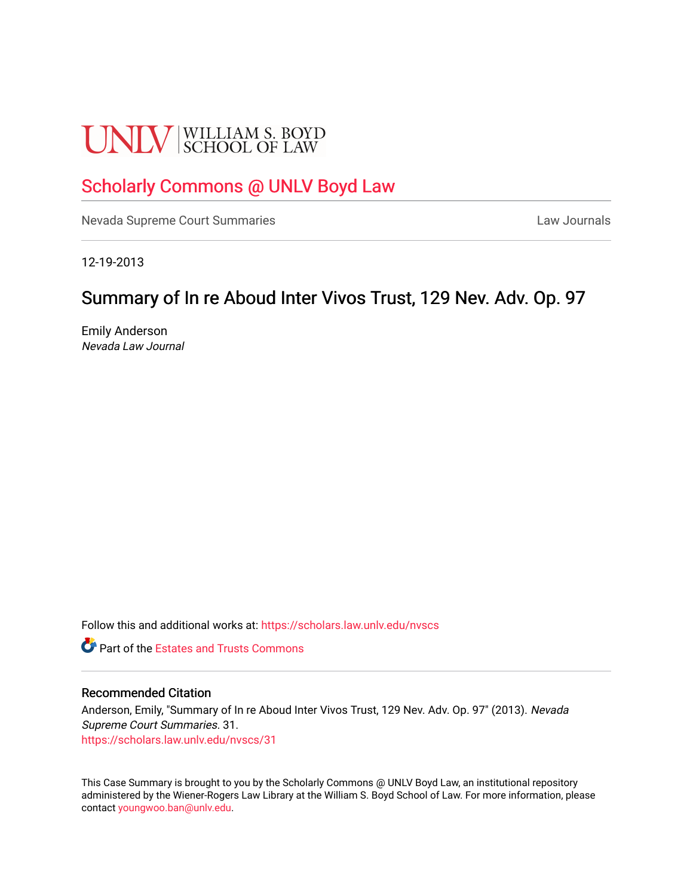# **UNLV** SCHOOL OF LAW

# [Scholarly Commons @ UNLV Boyd Law](https://scholars.law.unlv.edu/)

[Nevada Supreme Court Summaries](https://scholars.law.unlv.edu/nvscs) **Law Journals** Law Journals

12-19-2013

# Summary of In re Aboud Inter Vivos Trust, 129 Nev. Adv. Op. 97

Emily Anderson Nevada Law Journal

Follow this and additional works at: [https://scholars.law.unlv.edu/nvscs](https://scholars.law.unlv.edu/nvscs?utm_source=scholars.law.unlv.edu%2Fnvscs%2F31&utm_medium=PDF&utm_campaign=PDFCoverPages)

**C** Part of the Estates and Trusts Commons

#### Recommended Citation

Anderson, Emily, "Summary of In re Aboud Inter Vivos Trust, 129 Nev. Adv. Op. 97" (2013). Nevada Supreme Court Summaries. 31. [https://scholars.law.unlv.edu/nvscs/31](https://scholars.law.unlv.edu/nvscs/31?utm_source=scholars.law.unlv.edu%2Fnvscs%2F31&utm_medium=PDF&utm_campaign=PDFCoverPages) 

This Case Summary is brought to you by the Scholarly Commons @ UNLV Boyd Law, an institutional repository administered by the Wiener-Rogers Law Library at the William S. Boyd School of Law. For more information, please contact [youngwoo.ban@unlv.edu](mailto:youngwoo.ban@unlv.edu).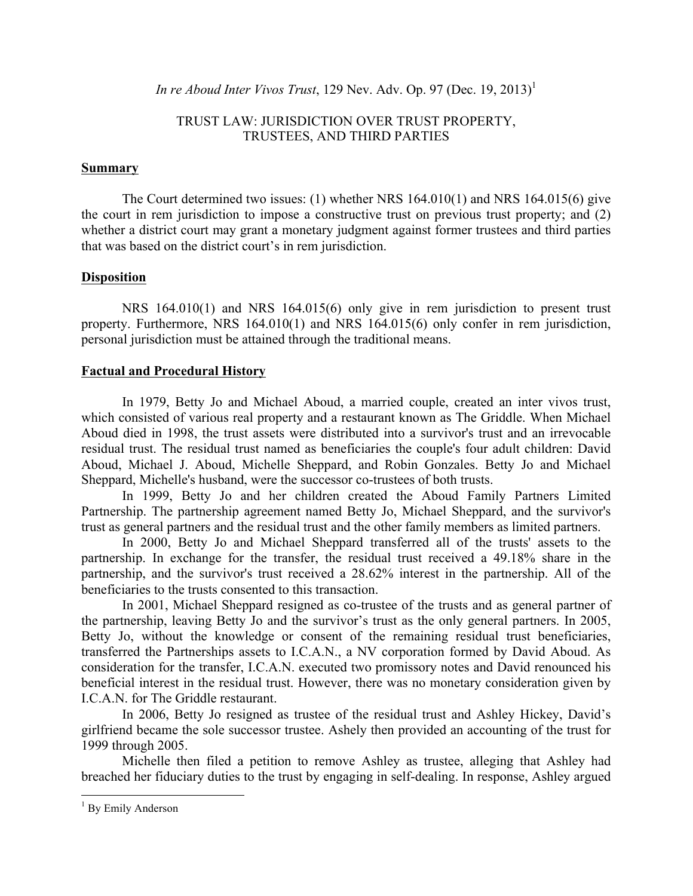*In re Aboud Inter Vivos Trust*, 129 Nev. Adv. Op. 97 (Dec. 19, 2013)<sup>1</sup>

## TRUST LAW: JURISDICTION OVER TRUST PROPERTY, TRUSTEES, AND THIRD PARTIES

#### **Summary**

The Court determined two issues: (1) whether NRS 164.010(1) and NRS 164.015(6) give the court in rem jurisdiction to impose a constructive trust on previous trust property; and (2) whether a district court may grant a monetary judgment against former trustees and third parties that was based on the district court's in rem jurisdiction.

## **Disposition**

NRS 164.010(1) and NRS 164.015(6) only give in rem jurisdiction to present trust property. Furthermore, NRS 164.010(1) and NRS 164.015(6) only confer in rem jurisdiction, personal jurisdiction must be attained through the traditional means.

## **Factual and Procedural History**

In 1979, Betty Jo and Michael Aboud, a married couple, created an inter vivos trust, which consisted of various real property and a restaurant known as The Griddle. When Michael Aboud died in 1998, the trust assets were distributed into a survivor's trust and an irrevocable residual trust. The residual trust named as beneficiaries the couple's four adult children: David Aboud, Michael J. Aboud, Michelle Sheppard, and Robin Gonzales. Betty Jo and Michael Sheppard, Michelle's husband, were the successor co-trustees of both trusts.

In 1999, Betty Jo and her children created the Aboud Family Partners Limited Partnership. The partnership agreement named Betty Jo, Michael Sheppard, and the survivor's trust as general partners and the residual trust and the other family members as limited partners.

In 2000, Betty Jo and Michael Sheppard transferred all of the trusts' assets to the partnership. In exchange for the transfer, the residual trust received a 49.18% share in the partnership, and the survivor's trust received a 28.62% interest in the partnership. All of the beneficiaries to the trusts consented to this transaction.

In 2001, Michael Sheppard resigned as co-trustee of the trusts and as general partner of the partnership, leaving Betty Jo and the survivor's trust as the only general partners. In 2005, Betty Jo, without the knowledge or consent of the remaining residual trust beneficiaries, transferred the Partnerships assets to I.C.A.N., a NV corporation formed by David Aboud. As consideration for the transfer, I.C.A.N. executed two promissory notes and David renounced his beneficial interest in the residual trust. However, there was no monetary consideration given by I.C.A.N. for The Griddle restaurant.

In 2006, Betty Jo resigned as trustee of the residual trust and Ashley Hickey, David's girlfriend became the sole successor trustee. Ashely then provided an accounting of the trust for 1999 through 2005.

Michelle then filed a petition to remove Ashley as trustee, alleging that Ashley had breached her fiduciary duties to the trust by engaging in self-dealing. In response, Ashley argued

<sup>&</sup>lt;sup>1</sup> By Emily Anderson